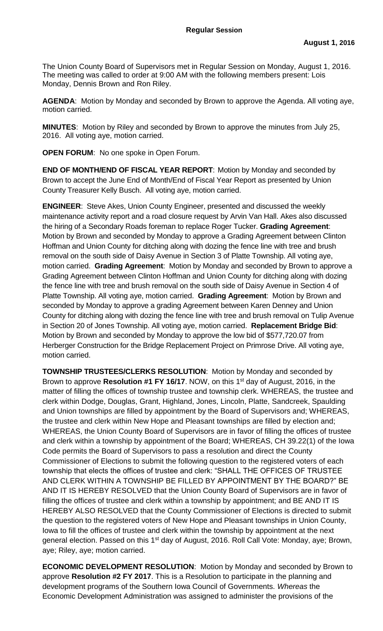The Union County Board of Supervisors met in Regular Session on Monday, August 1, 2016. The meeting was called to order at 9:00 AM with the following members present: Lois Monday, Dennis Brown and Ron Riley.

**AGENDA**: Motion by Monday and seconded by Brown to approve the Agenda. All voting aye, motion carried.

**MINUTES**: Motion by Riley and seconded by Brown to approve the minutes from July 25, 2016. All voting aye, motion carried.

**OPEN FORUM**: No one spoke in Open Forum.

**END OF MONTH/END OF FISCAL YEAR REPORT**:Motion by Monday and seconded by Brown to accept the June End of Month/End of Fiscal Year Report as presented by Union County Treasurer Kelly Busch. All voting aye, motion carried.

**ENGINEER**: Steve Akes, Union County Engineer, presented and discussed the weekly maintenance activity report and a road closure request by Arvin Van Hall. Akes also discussed the hiring of a Secondary Roads foreman to replace Roger Tucker. **Grading Agreement**: Motion by Brown and seconded by Monday to approve a Grading Agreement between Clinton Hoffman and Union County for ditching along with dozing the fence line with tree and brush removal on the south side of Daisy Avenue in Section 3 of Platte Township. All voting aye, motion carried. **Grading Agreement**: Motion by Monday and seconded by Brown to approve a Grading Agreement between Clinton Hoffman and Union County for ditching along with dozing the fence line with tree and brush removal on the south side of Daisy Avenue in Section 4 of Platte Township. All voting aye, motion carried. **Grading Agreement**: Motion by Brown and seconded by Monday to approve a grading Agreement between Karen Denney and Union County for ditching along with dozing the fence line with tree and brush removal on Tulip Avenue in Section 20 of Jones Township. All voting aye, motion carried. **Replacement Bridge Bid**: Motion by Brown and seconded by Monday to approve the low bid of \$577,720.07 from Herberger Construction for the Bridge Replacement Project on Primrose Drive. All voting aye, motion carried.

**TOWNSHIP TRUSTEES/CLERKS RESOLUTION**: Motion by Monday and seconded by Brown to approve **Resolution #1 FY 16/17**. NOW, on this 1<sup>st</sup> day of August, 2016, in the matter of filling the offices of township trustee and township clerk. WHEREAS, the trustee and clerk within Dodge, Douglas, Grant, Highland, Jones, Lincoln, Platte, Sandcreek, Spaulding and Union townships are filled by appointment by the Board of Supervisors and; WHEREAS, the trustee and clerk within New Hope and Pleasant townships are filled by election and; WHEREAS, the Union County Board of Supervisors are in favor of filling the offices of trustee and clerk within a township by appointment of the Board; WHEREAS, CH 39.22(1) of the Iowa Code permits the Board of Supervisors to pass a resolution and direct the County Commissioner of Elections to submit the following question to the registered voters of each township that elects the offices of trustee and clerk: "SHALL THE OFFICES OF TRUSTEE AND CLERK WITHIN A TOWNSHIP BE FILLED BY APPOINTMENT BY THE BOARD?" BE AND IT IS HEREBY RESOLVED that the Union County Board of Supervisors are in favor of filling the offices of trustee and clerk within a township by appointment; and BE AND IT IS HEREBY ALSO RESOLVED that the County Commissioner of Elections is directed to submit the question to the registered voters of New Hope and Pleasant townships in Union County, Iowa to fill the offices of trustee and clerk within the township by appointment at the next general election. Passed on this 1<sup>st</sup> day of August, 2016. Roll Call Vote: Monday, aye; Brown, aye; Riley, aye; motion carried.

**ECONOMIC DEVELOPMENT RESOLUTION**: Motion by Monday and seconded by Brown to approve **Resolution #2 FY 2017**. This is a Resolution to participate in the planning and development programs of the Southern Iowa Council of Governments. *Whereas* the Economic Development Administration was assigned to administer the provisions of the